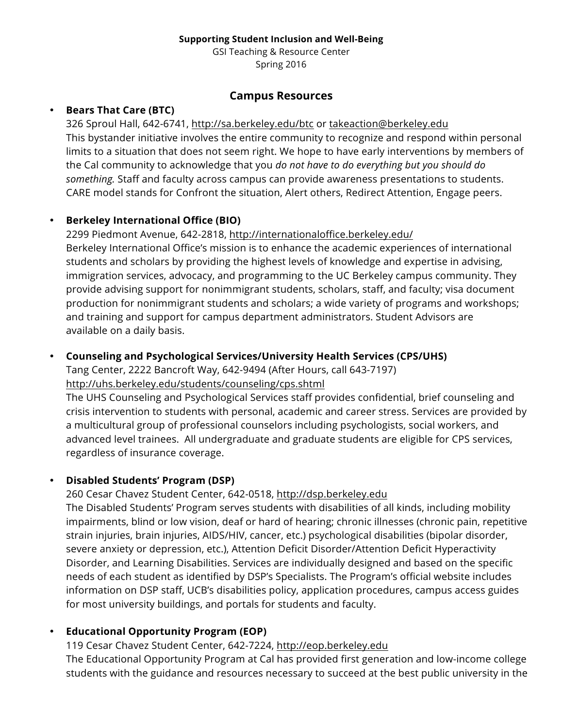#### **Supporting Student Inclusion and Well-Being**

GSI Teaching & Resource Center Spring 2016

#### **Campus Resources**

#### • **Bears That Care (BTC)**

326 Sproul Hall, 642-6741, http://sa.berkeley.edu/btc or takeaction@berkeley.edu This bystander initiative involves the entire community to recognize and respond within personal limits to a situation that does not seem right. We hope to have early interventions by members of the Cal community to acknowledge that you *do not have to do everything but you should do something.* Staff and faculty across campus can provide awareness presentations to students. CARE model stands for Confront the situation, Alert others, Redirect Attention, Engage peers.

# • **Berkeley International Office (BIO)**

2299 Piedmont Avenue, 642-2818, http://internationaloffice.berkeley.edu/ Berkeley International Office's mission is to enhance the academic experiences of international students and scholars by providing the highest levels of knowledge and expertise in advising, immigration services, advocacy, and programming to the UC Berkeley campus community. They provide advising support for nonimmigrant students, scholars, staff, and faculty; visa document production for nonimmigrant students and scholars; a wide variety of programs and workshops; and training and support for campus department administrators. Student Advisors are available on a daily basis.

### • **Counseling and Psychological Services/University Health Services (CPS/UHS)**

Tang Center, 2222 Bancroft Way, 642-9494 (After Hours, call 643-7197) http://uhs.berkeley.edu/students/counseling/cps.shtml

The UHS Counseling and Psychological Services staff provides confidential, brief counseling and crisis intervention to students with personal, academic and career stress. Services are provided by a multicultural group of professional counselors including psychologists, social workers, and advanced level trainees. All undergraduate and graduate students are eligible for CPS services, regardless of insurance coverage.

# • **Disabled Students' Program (DSP)**

260 Cesar Chavez Student Center, 642-0518, http://dsp.berkeley.edu

The Disabled Students' Program serves students with disabilities of all kinds, including mobility impairments, blind or low vision, deaf or hard of hearing; chronic illnesses (chronic pain, repetitive strain injuries, brain injuries, AIDS/HIV, cancer, etc.) psychological disabilities (bipolar disorder, severe anxiety or depression, etc.), Attention Deficit Disorder/Attention Deficit Hyperactivity Disorder, and Learning Disabilities. Services are individually designed and based on the specific needs of each student as identified by DSP's Specialists. The Program's official website includes information on DSP staff, UCB's disabilities policy, application procedures, campus access guides for most university buildings, and portals for students and faculty.

# • **Educational Opportunity Program (EOP)**

119 Cesar Chavez Student Center, 642-7224, http://eop.berkeley.edu The Educational Opportunity Program at Cal has provided first generation and low-income college students with the guidance and resources necessary to succeed at the best public university in the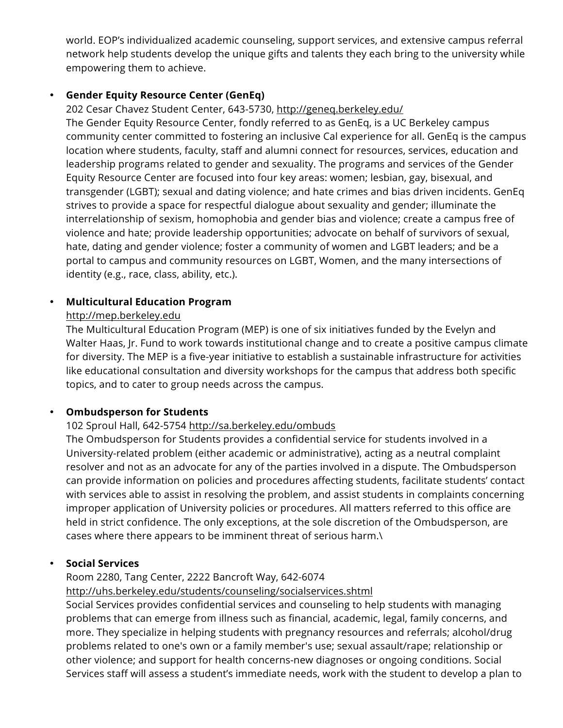world. EOP's individualized academic counseling, support services, and extensive campus referral network help students develop the unique gifts and talents they each bring to the university while empowering them to achieve.

#### • **Gender Equity Resource Center (GenEq)**

202 Cesar Chavez Student Center, 643-5730, http://geneq.berkeley.edu/

The Gender Equity Resource Center, fondly referred to as GenEq, is a UC Berkeley campus community center committed to fostering an inclusive Cal experience for all. GenEq is the campus location where students, faculty, staff and alumni connect for resources, services, education and leadership programs related to gender and sexuality. The programs and services of the Gender Equity Resource Center are focused into four key areas: women; lesbian, gay, bisexual, and transgender (LGBT); sexual and dating violence; and hate crimes and bias driven incidents. GenEq strives to provide a space for respectful dialogue about sexuality and gender; illuminate the interrelationship of sexism, homophobia and gender bias and violence; create a campus free of violence and hate; provide leadership opportunities; advocate on behalf of survivors of sexual, hate, dating and gender violence; foster a community of women and LGBT leaders; and be a portal to campus and community resources on LGBT, Women, and the many intersections of identity (e.g., race, class, ability, etc.).

# • **Multicultural Education Program**

# http://mep.berkeley.edu

The Multicultural Education Program (MEP) is one of six initiatives funded by the Evelyn and Walter Haas, Jr. Fund to work towards institutional change and to create a positive campus climate for diversity. The MEP is a five-year initiative to establish a sustainable infrastructure for activities like educational consultation and diversity workshops for the campus that address both specific topics, and to cater to group needs across the campus.

# • **Ombudsperson for Students**

# 102 Sproul Hall, 642-5754 http://sa.berkeley.edu/ombuds

The Ombudsperson for Students provides a confidential service for students involved in a University-related problem (either academic or administrative), acting as a neutral complaint resolver and not as an advocate for any of the parties involved in a dispute. The Ombudsperson can provide information on policies and procedures affecting students, facilitate students' contact with services able to assist in resolving the problem, and assist students in complaints concerning improper application of University policies or procedures. All matters referred to this office are held in strict confidence. The only exceptions, at the sole discretion of the Ombudsperson, are cases where there appears to be imminent threat of serious harm.\

# • **Social Services**

#### Room 2280, Tang Center, 2222 Bancroft Way, 642-6074

http://uhs.berkeley.edu/students/counseling/socialservices.shtml

Social Services provides confidential services and counseling to help students with managing problems that can emerge from illness such as financial, academic, legal, family concerns, and more. They specialize in helping students with pregnancy resources and referrals; alcohol/drug problems related to one's own or a family member's use; sexual assault/rape; relationship or other violence; and support for health concerns-new diagnoses or ongoing conditions. Social Services staff will assess a student's immediate needs, work with the student to develop a plan to